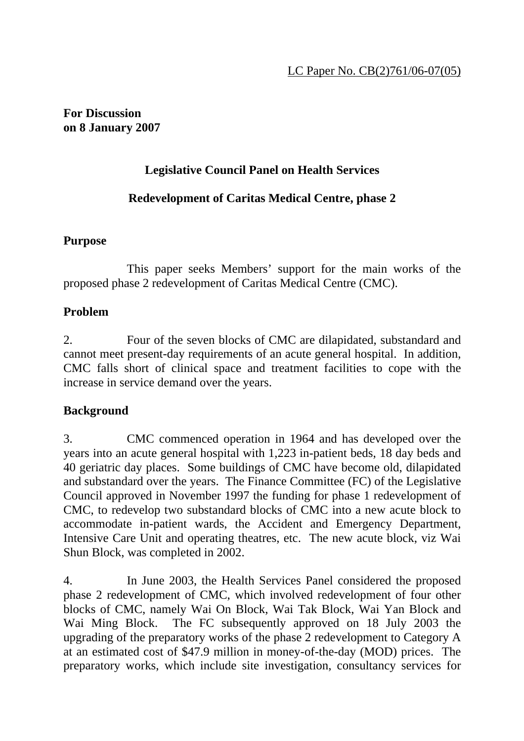## **For Discussion on 8 January 2007**

# **Legislative Council Panel on Health Services**

# **Redevelopment of Caritas Medical Centre, phase 2**

## **Purpose**

 This paper seeks Members' support for the main works of the proposed phase 2 redevelopment of Caritas Medical Centre (CMC).

## **Problem**

2. Four of the seven blocks of CMC are dilapidated, substandard and cannot meet present-day requirements of an acute general hospital. In addition, CMC falls short of clinical space and treatment facilities to cope with the increase in service demand over the years.

## **Background**

3. CMC commenced operation in 1964 and has developed over the years into an acute general hospital with 1,223 in-patient beds, 18 day beds and 40 geriatric day places. Some buildings of CMC have become old, dilapidated and substandard over the years. The Finance Committee (FC) of the Legislative Council approved in November 1997 the funding for phase 1 redevelopment of CMC, to redevelop two substandard blocks of CMC into a new acute block to accommodate in-patient wards, the Accident and Emergency Department, Intensive Care Unit and operating theatres, etc. The new acute block, viz Wai Shun Block, was completed in 2002.

4. In June 2003, the Health Services Panel considered the proposed phase 2 redevelopment of CMC, which involved redevelopment of four other blocks of CMC, namely Wai On Block, Wai Tak Block, Wai Yan Block and Wai Ming Block. The FC subsequently approved on 18 July 2003 the upgrading of the preparatory works of the phase 2 redevelopment to Category A at an estimated cost of \$47.9 million in money-of-the-day (MOD) prices. The preparatory works, which include site investigation, consultancy services for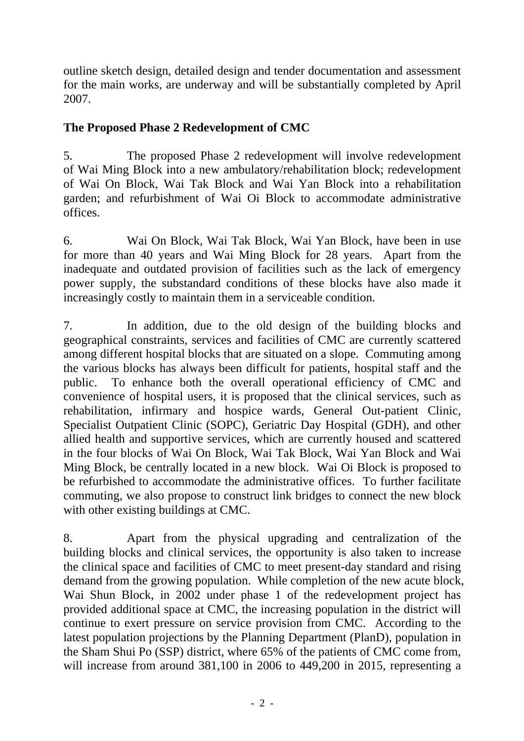outline sketch design, detailed design and tender documentation and assessment for the main works, are underway and will be substantially completed by April 2007.

# **The Proposed Phase 2 Redevelopment of CMC**

5. The proposed Phase 2 redevelopment will involve redevelopment of Wai Ming Block into a new ambulatory/rehabilitation block; redevelopment of Wai On Block, Wai Tak Block and Wai Yan Block into a rehabilitation garden; and refurbishment of Wai Oi Block to accommodate administrative offices.

6. Wai On Block, Wai Tak Block, Wai Yan Block, have been in use for more than 40 years and Wai Ming Block for 28 years. Apart from the inadequate and outdated provision of facilities such as the lack of emergency power supply, the substandard conditions of these blocks have also made it increasingly costly to maintain them in a serviceable condition.

7. In addition, due to the old design of the building blocks and geographical constraints, services and facilities of CMC are currently scattered among different hospital blocks that are situated on a slope. Commuting among the various blocks has always been difficult for patients, hospital staff and the public. To enhance both the overall operational efficiency of CMC and convenience of hospital users, it is proposed that the clinical services, such as rehabilitation, infirmary and hospice wards, General Out-patient Clinic, Specialist Outpatient Clinic (SOPC), Geriatric Day Hospital (GDH), and other allied health and supportive services, which are currently housed and scattered in the four blocks of Wai On Block, Wai Tak Block, Wai Yan Block and Wai Ming Block, be centrally located in a new block. Wai Oi Block is proposed to be refurbished to accommodate the administrative offices. To further facilitate commuting, we also propose to construct link bridges to connect the new block with other existing buildings at CMC.

8. Apart from the physical upgrading and centralization of the building blocks and clinical services, the opportunity is also taken to increase the clinical space and facilities of CMC to meet present-day standard and rising demand from the growing population. While completion of the new acute block, Wai Shun Block, in 2002 under phase 1 of the redevelopment project has provided additional space at CMC, the increasing population in the district will continue to exert pressure on service provision from CMC. According to the latest population projections by the Planning Department (PlanD), population in the Sham Shui Po (SSP) district, where 65% of the patients of CMC come from, will increase from around 381,100 in 2006 to 449,200 in 2015, representing a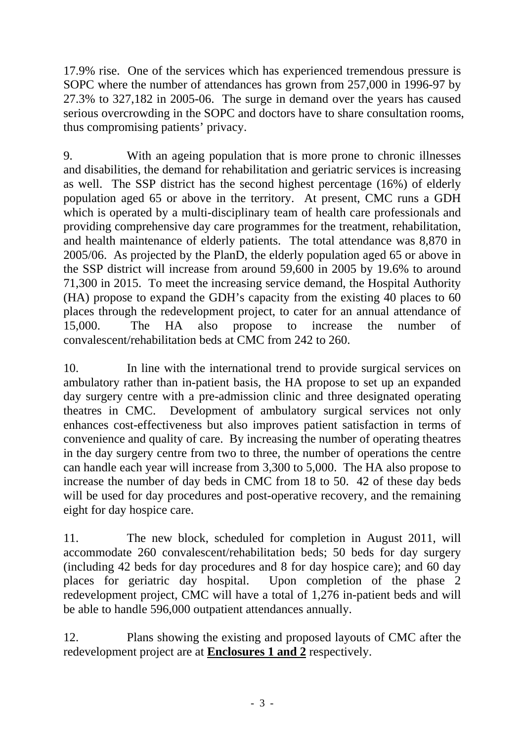17.9% rise. One of the services which has experienced tremendous pressure is SOPC where the number of attendances has grown from 257,000 in 1996-97 by 27.3% to 327,182 in 2005-06. The surge in demand over the years has caused serious overcrowding in the SOPC and doctors have to share consultation rooms, thus compromising patients' privacy.

9. With an ageing population that is more prone to chronic illnesses and disabilities, the demand for rehabilitation and geriatric services is increasing as well. The SSP district has the second highest percentage (16%) of elderly population aged 65 or above in the territory. At present, CMC runs a GDH which is operated by a multi-disciplinary team of health care professionals and providing comprehensive day care programmes for the treatment, rehabilitation, and health maintenance of elderly patients. The total attendance was 8,870 in 2005/06. As projected by the PlanD, the elderly population aged 65 or above in the SSP district will increase from around 59,600 in 2005 by 19.6% to around 71,300 in 2015. To meet the increasing service demand, the Hospital Authority (HA) propose to expand the GDH's capacity from the existing 40 places to 60 places through the redevelopment project, to cater for an annual attendance of 15,000. The HA also propose to increase the number of convalescent/rehabilitation beds at CMC from 242 to 260.

10. In line with the international trend to provide surgical services on ambulatory rather than in-patient basis, the HA propose to set up an expanded day surgery centre with a pre-admission clinic and three designated operating theatres in CMC. Development of ambulatory surgical services not only enhances cost-effectiveness but also improves patient satisfaction in terms of convenience and quality of care. By increasing the number of operating theatres in the day surgery centre from two to three, the number of operations the centre can handle each year will increase from 3,300 to 5,000. The HA also propose to increase the number of day beds in CMC from 18 to 50. 42 of these day beds will be used for day procedures and post-operative recovery, and the remaining eight for day hospice care.

11. The new block, scheduled for completion in August 2011, will accommodate 260 convalescent/rehabilitation beds; 50 beds for day surgery (including 42 beds for day procedures and 8 for day hospice care); and 60 day places for geriatric day hospital. Upon completion of the phase 2 redevelopment project, CMC will have a total of 1,276 in-patient beds and will be able to handle 596,000 outpatient attendances annually.

12. Plans showing the existing and proposed layouts of CMC after the redevelopment project are at **Enclosures 1 and 2** respectively.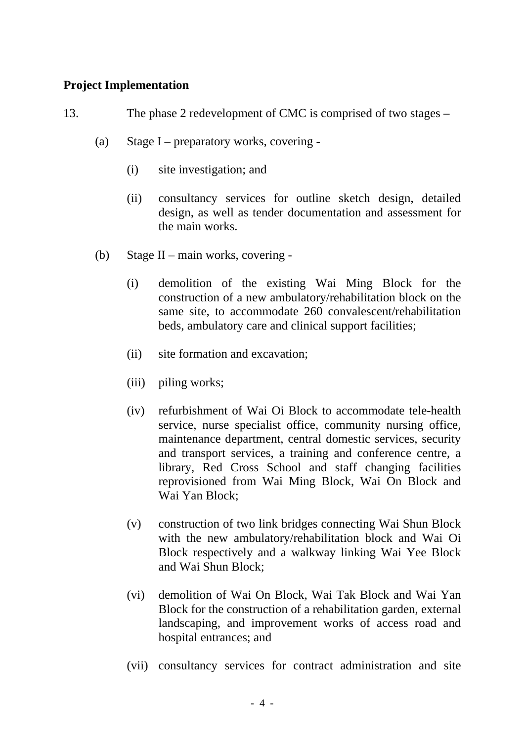## **Project Implementation**

- 13. The phase 2 redevelopment of CMC is comprised of two stages
	- (a) Stage I preparatory works, covering
		- (i) site investigation; and
		- (ii) consultancy services for outline sketch design, detailed design, as well as tender documentation and assessment for the main works.
	- (b) Stage II main works, covering
		- (i) demolition of the existing Wai Ming Block for the construction of a new ambulatory/rehabilitation block on the same site, to accommodate 260 convalescent/rehabilitation beds, ambulatory care and clinical support facilities;
		- (ii) site formation and excavation;
		- (iii) piling works;
		- (iv) refurbishment of Wai Oi Block to accommodate tele-health service, nurse specialist office, community nursing office, maintenance department, central domestic services, security and transport services, a training and conference centre, a library, Red Cross School and staff changing facilities reprovisioned from Wai Ming Block, Wai On Block and Wai Yan Block;
		- (v) construction of two link bridges connecting Wai Shun Block with the new ambulatory/rehabilitation block and Wai Oi Block respectively and a walkway linking Wai Yee Block and Wai Shun Block;
		- (vi) demolition of Wai On Block, Wai Tak Block and Wai Yan Block for the construction of a rehabilitation garden, external landscaping, and improvement works of access road and hospital entrances; and
		- (vii) consultancy services for contract administration and site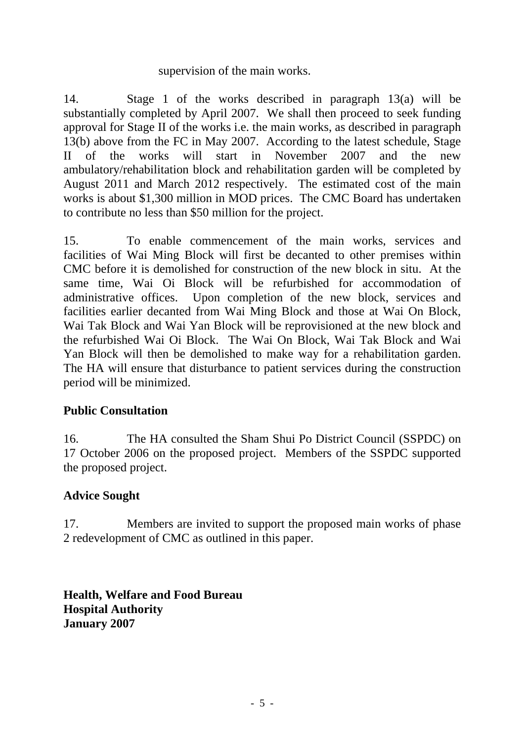#### supervision of the main works.

14. Stage 1 of the works described in paragraph 13(a) will be substantially completed by April 2007. We shall then proceed to seek funding approval for Stage II of the works i.e. the main works, as described in paragraph 13(b) above from the FC in May 2007. According to the latest schedule, Stage II of the works will start in November 2007 and the new ambulatory/rehabilitation block and rehabilitation garden will be completed by August 2011 and March 2012 respectively. The estimated cost of the main works is about \$1,300 million in MOD prices. The CMC Board has undertaken to contribute no less than \$50 million for the project.

15. To enable commencement of the main works, services and facilities of Wai Ming Block will first be decanted to other premises within CMC before it is demolished for construction of the new block in situ. At the same time, Wai Oi Block will be refurbished for accommodation of administrative offices. Upon completion of the new block, services and facilities earlier decanted from Wai Ming Block and those at Wai On Block, Wai Tak Block and Wai Yan Block will be reprovisioned at the new block and the refurbished Wai Oi Block. The Wai On Block, Wai Tak Block and Wai Yan Block will then be demolished to make way for a rehabilitation garden. The HA will ensure that disturbance to patient services during the construction period will be minimized.

#### **Public Consultation**

16. The HA consulted the Sham Shui Po District Council (SSPDC) on 17 October 2006 on the proposed project. Members of the SSPDC supported the proposed project.

## **Advice Sought**

17. Members are invited to support the proposed main works of phase 2 redevelopment of CMC as outlined in this paper.

**Health, Welfare and Food Bureau Hospital Authority January 2007**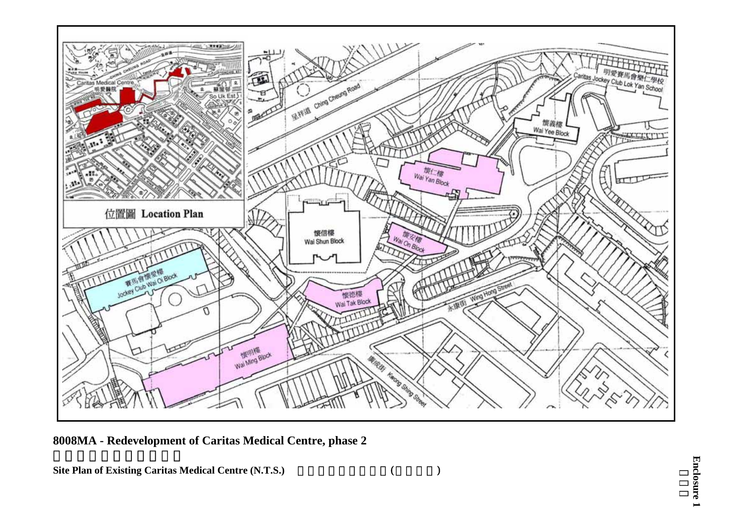

**8008MA - Redevelopment of Caritas Medical Centre, phase 2** 

**Site Plan of Existing Caritas Medical Centre (N.T.S.)** (  $($ 

**Enclosure 1**